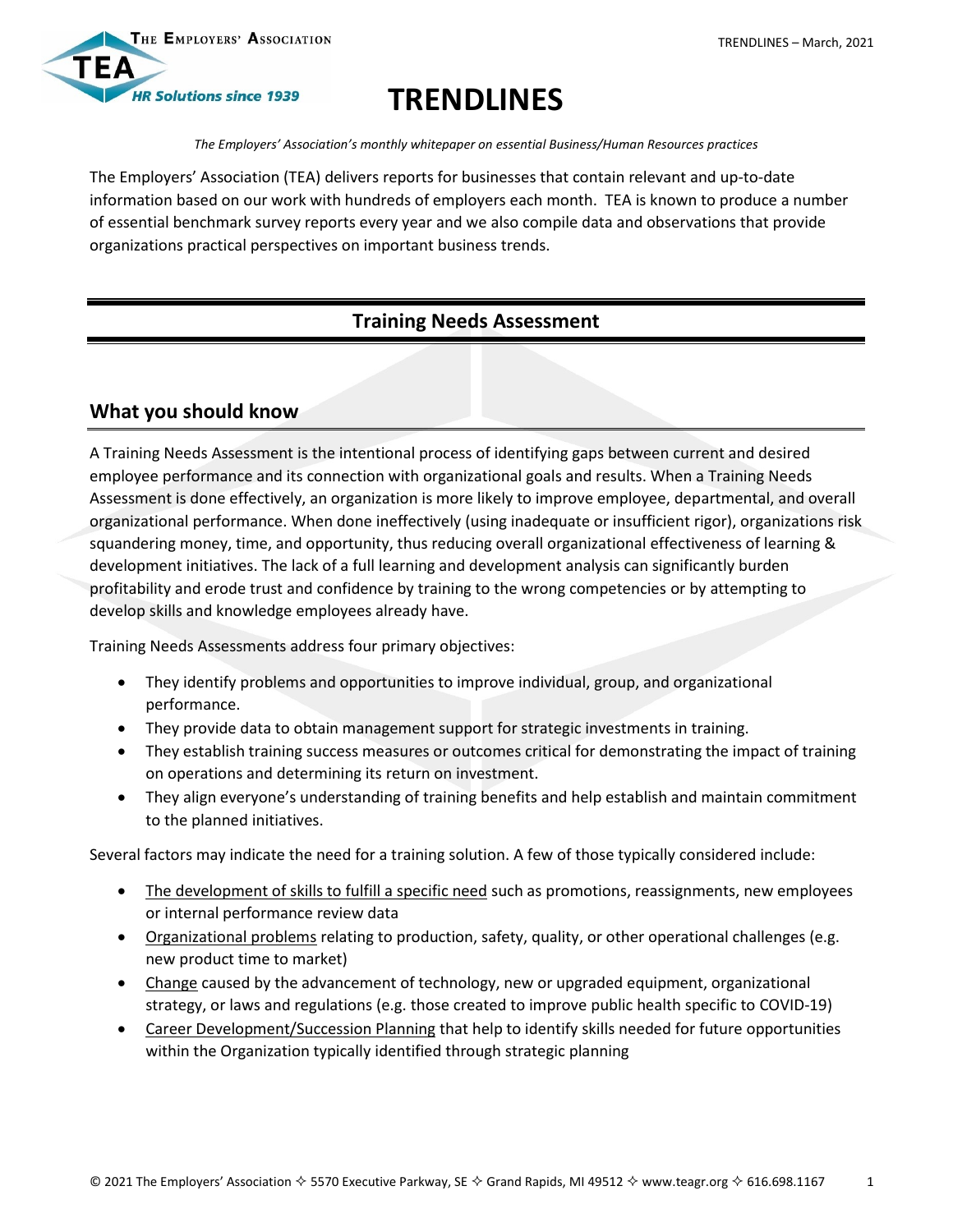

# **TRENDLINES**

*The Employers' Association's monthly whitepaper on essential Business/Human Resources practices*

The Employers' Association (TEA) delivers reports for businesses that contain relevant and up-to-date information based on our work with hundreds of employers each month. TEA is known to produce a number of essential benchmark survey reports every year and we also compile data and observations that provide organizations practical perspectives on important business trends.

## **Training Needs Assessment**

### **What you should know**

A Training Needs Assessment is the intentional process of identifying gaps between current and desired employee performance and its connection with organizational goals and results. When a Training Needs Assessment is done effectively, an organization is more likely to improve employee, departmental, and overall organizational performance. When done ineffectively (using inadequate or insufficient rigor), organizations risk squandering money, time, and opportunity, thus reducing overall organizational effectiveness of learning & development initiatives. The lack of a full learning and development analysis can significantly burden profitability and erode trust and confidence by training to the wrong competencies or by attempting to develop skills and knowledge employees already have.

Training Needs Assessments address four primary objectives:

- They identify problems and opportunities to improve individual, group, and organizational performance.
- They provide data to obtain management support for strategic investments in training.
- They establish training success measures or outcomes critical for demonstrating the impact of training on operations and determining its return on investment.
- They align everyone's understanding of training benefits and help establish and maintain commitment to the planned initiatives.

Several factors may indicate the need for a training solution. A few of those typically considered include:

- The development of skills to fulfill a specific need such as promotions, reassignments, new employees or internal performance review data
- Organizational problems relating to production, safety, quality, or other operational challenges (e.g. new product time to market)
- Change caused by the advancement of technology, new or upgraded equipment, organizational strategy, or laws and regulations (e.g. those created to improve public health specific to COVID-19)
- Career Development/Succession Planning that help to identify skills needed for future opportunities within the Organization typically identified through strategic planning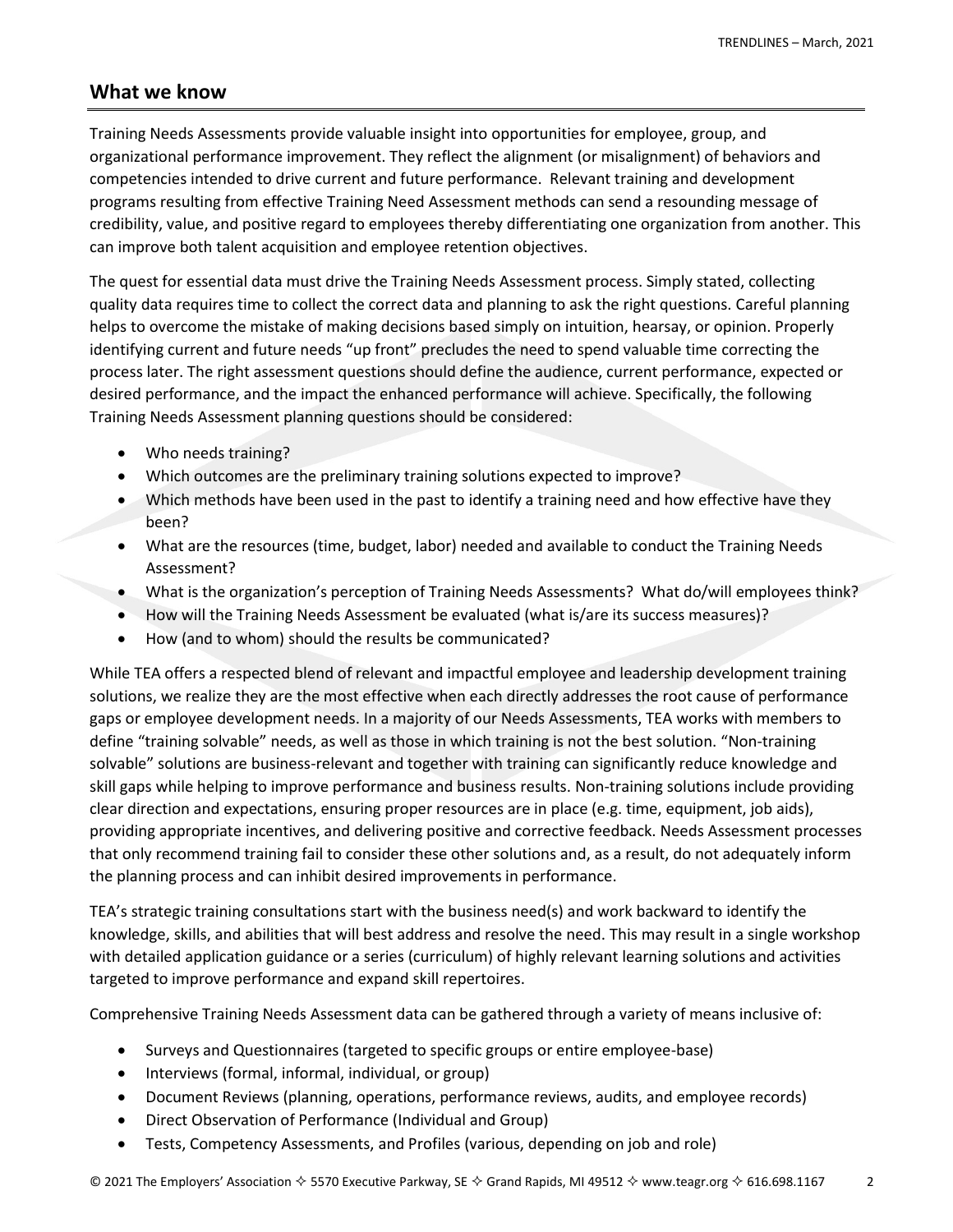### **What we know**

Training Needs Assessments provide valuable insight into opportunities for employee, group, and organizational performance improvement. They reflect the alignment (or misalignment) of behaviors and competencies intended to drive current and future performance. Relevant training and development programs resulting from effective Training Need Assessment methods can send a resounding message of credibility, value, and positive regard to employees thereby differentiating one organization from another. This can improve both talent acquisition and employee retention objectives.

The quest for essential data must drive the Training Needs Assessment process. Simply stated, collecting quality data requires time to collect the correct data and planning to ask the right questions. Careful planning helps to overcome the mistake of making decisions based simply on intuition, hearsay, or opinion. Properly identifying current and future needs "up front" precludes the need to spend valuable time correcting the process later. The right assessment questions should define the audience, current performance, expected or desired performance, and the impact the enhanced performance will achieve. Specifically, the following Training Needs Assessment planning questions should be considered:

- Who needs training?
- Which outcomes are the preliminary training solutions expected to improve?
- Which methods have been used in the past to identify a training need and how effective have they been?
- What are the resources (time, budget, labor) needed and available to conduct the Training Needs Assessment?
- What is the organization's perception of Training Needs Assessments? What do/will employees think?
- How will the Training Needs Assessment be evaluated (what is/are its success measures)?
- How (and to whom) should the results be communicated?

While TEA offers a respected blend of relevant and impactful employee and leadership development training solutions, we realize they are the most effective when each directly addresses the root cause of performance gaps or employee development needs. In a majority of our Needs Assessments, TEA works with members to define "training solvable" needs, as well as those in which training is not the best solution. "Non-training solvable" solutions are business-relevant and together with training can significantly reduce knowledge and skill gaps while helping to improve performance and business results. Non-training solutions include providing clear direction and expectations, ensuring proper resources are in place (e.g. time, equipment, job aids), providing appropriate incentives, and delivering positive and corrective feedback. Needs Assessment processes that only recommend training fail to consider these other solutions and, as a result, do not adequately inform the planning process and can inhibit desired improvements in performance.

TEA's strategic training consultations start with the business need(s) and work backward to identify the knowledge, skills, and abilities that will best address and resolve the need. This may result in a single workshop with detailed application guidance or a series (curriculum) of highly relevant learning solutions and activities targeted to improve performance and expand skill repertoires.

Comprehensive Training Needs Assessment data can be gathered through a variety of means inclusive of:

- Surveys and Questionnaires (targeted to specific groups or entire employee-base)
- Interviews (formal, informal, individual, or group)
- Document Reviews (planning, operations, performance reviews, audits, and employee records)
- Direct Observation of Performance (Individual and Group)
- Tests, Competency Assessments, and Profiles (various, depending on job and role)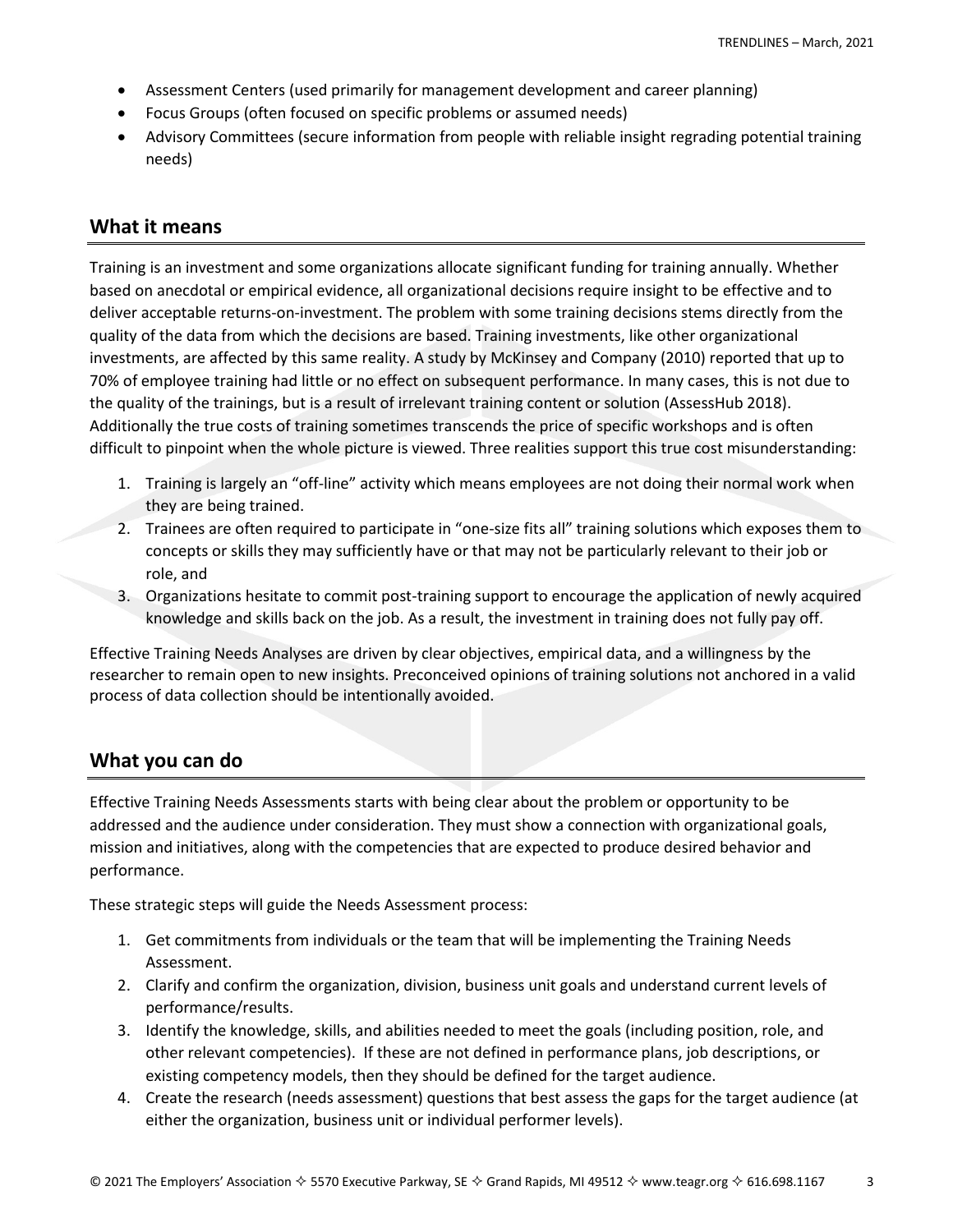- Assessment Centers (used primarily for management development and career planning)
- Focus Groups (often focused on specific problems or assumed needs)
- Advisory Committees (secure information from people with reliable insight regrading potential training needs)

#### **What it means**

Training is an investment and some organizations allocate significant funding for training annually. Whether based on anecdotal or empirical evidence, all organizational decisions require insight to be effective and to deliver acceptable returns-on-investment. The problem with some training decisions stems directly from the quality of the data from which the decisions are based. Training investments, like other organizational investments, are affected by this same reality. A study by McKinsey and Company (2010) reported that up to 70% of employee training had little or no effect on subsequent performance. In many cases, this is not due to the quality of the trainings, but is a result of irrelevant training content or solution (AssessHub 2018). Additionally the true costs of training sometimes transcends the price of specific workshops and is often difficult to pinpoint when the whole picture is viewed. Three realities support this true cost misunderstanding:

- 1. Training is largely an "off-line" activity which means employees are not doing their normal work when they are being trained.
- 2. Trainees are often required to participate in "one-size fits all" training solutions which exposes them to concepts or skills they may sufficiently have or that may not be particularly relevant to their job or role, and
- 3. Organizations hesitate to commit post-training support to encourage the application of newly acquired knowledge and skills back on the job. As a result, the investment in training does not fully pay off.

Effective Training Needs Analyses are driven by clear objectives, empirical data, and a willingness by the researcher to remain open to new insights. Preconceived opinions of training solutions not anchored in a valid process of data collection should be intentionally avoided.

## **What you can do**

Effective Training Needs Assessments starts with being clear about the problem or opportunity to be addressed and the audience under consideration. They must show a connection with organizational goals, mission and initiatives, along with the competencies that are expected to produce desired behavior and performance.

These strategic steps will guide the Needs Assessment process:

- 1. Get commitments from individuals or the team that will be implementing the Training Needs Assessment.
- 2. Clarify and confirm the organization, division, business unit goals and understand current levels of performance/results.
- 3. Identify the knowledge, skills, and abilities needed to meet the goals (including position, role, and other relevant competencies). If these are not defined in performance plans, job descriptions, or existing competency models, then they should be defined for the target audience.
- 4. Create the research (needs assessment) questions that best assess the gaps for the target audience (at either the organization, business unit or individual performer levels).